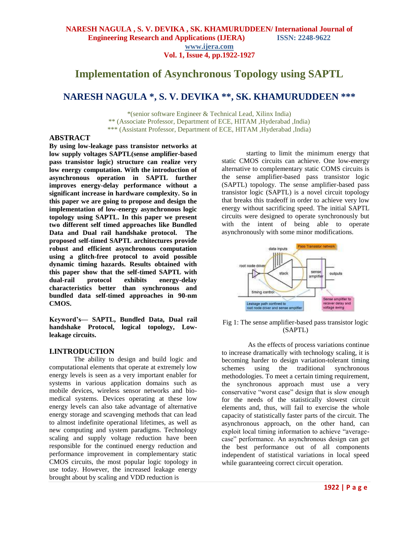# **Implementation of Asynchronous Topology using SAPTL**

# **NARESH NAGULA \*, S. V. DEVIKA \*\*, SK. KHAMURUDDEEN \*\*\***

\*(senior software Engineer & Technical Lead, Xilinx India) \*\* (Associate Professor, Department of ECE, HITAM ,Hyderabad ,India) \*\*\* (Assistant Professor, Department of ECE, HITAM ,Hyderabad ,India)

#### **ABSTRACT**

**By using low-leakage pass transistor networks at low supply voltages SAPTL(sense amplifier-based pass transistor logic) structure can realize very low energy computation. With the introduction of asynchronous operation in SAPTL further improves energy-delay performance without a significant increase in hardware complexity. So in this paper we are going to propose and design the implementation of low-energy asynchronous logic topology using SAPTL. In this paper we present two different self timed approaches like Bundled Data and Dual rail handshake protocol. The proposed self-timed SAPTL architectures provide robust and efficient asynchronous computation using a glitch-free protocol to avoid possible dynamic timing hazards. Results obtained with this paper show that the self-timed SAPTL with dual-rail protocol exhibits energy-delay characteristics better than synchronous and bundled data self-timed approaches in 90-nm CMOS.**

**Keyword's— SAPTL, Bundled Data, Dual rail handshake Protocol, logical topology, Lowleakage circuits.**

## **I.INTRODUCTION**

The ability to design and build logic and computational elements that operate at extremely low energy levels is seen as a very important enabler for systems in various application domains such as mobile devices, wireless sensor networks and biomedical systems. Devices operating at these low energy levels can also take advantage of alternative energy storage and scavenging methods that can lead to almost indefinite operational lifetimes, as well as new computing and system paradigms. Technology scaling and supply voltage reduction have been responsible for the continued energy reduction and performance improvement in complementary static CMOS circuits, the most popular logic topology in use today. However, the increased leakage energy brought about by scaling and VDD reduction is

starting to limit the minimum energy that static CMOS circuits can achieve. One low-energy alternative to complementary static COMS circuits is the sense amplifier-based pass transistor logic (SAPTL) topology. The sense amplifier-based pass transistor logic (SAPTL) is a novel circuit topology that breaks this tradeoff in order to achieve very low energy without sacrificing speed. The initial SAPTL circuits were designed to operate synchronously but with the intent of being able to operate asynchronously with some minor modifications.



Fig 1: The sense amplifier-based pass transistor logic (SAPTL)

 As the effects of process variations continue to increase dramatically with technology scaling, it is becoming harder to design variation-tolerant timing schemes using the traditional synchronous methodologies. To meet a certain timing requirement, the synchronous approach must use a very conservative "worst case" design that is slow enough for the needs of the statistically slowest circuit elements and, thus, will fail to exercise the whole capacity of statistically faster parts of the circuit. The asynchronous approach, on the other hand, can exploit local timing information to achieve "averagecase" performance. An asynchronous design can get the best performance out of all components independent of statistical variations in local speed while guaranteeing correct circuit operation.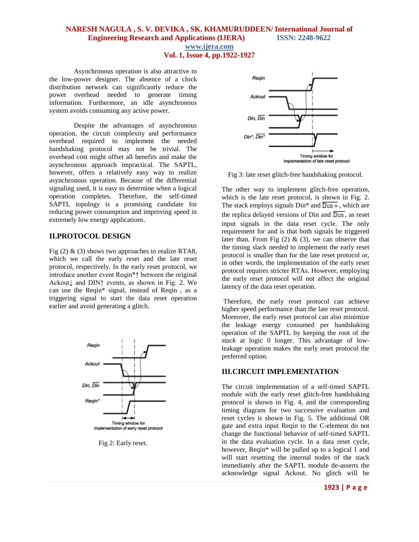#### **NARESH NAGULA , S. V. DEVIKA , SK. KHAMURUDDEEN/ International Journal of Engineering Research and Applications (IJERA) ISSN: 2248-9622**

**www.ijera.com**

**Vol. 1, Issue 4, pp.1922-1927**

Asynchronous operation is also attractive to the low-power designer. The absence of a clock distribution network can significantly reduce the power overhead needed to generate timing information. Furthermore, an idle asynchronous system avoids consuming any active power.

Despite the advantages of asynchronous operation, the circuit complexity and performance overhead required to implement the needed handshaking protocol may not be trivial. The overhead cost might offset all benefits and make the asynchronous approach impractical. The SAPTL, however, offers a relatively easy way to realize asynchronous operation. Because of the differential signaling used, it is easy to determine when a logical operation completes. Therefore, the self-timed SAPTL topology is a promising candidate for reducing power consumption and improving speed in extremely low energy applications.

#### **II.PROTOCOL DESIGN**

Fig  $(2)$  &  $(3)$  shows two approaches to realize RTA8, which we call the early reset and the late reset protocol, respectively. In the early reset protocol, we introduce another event Reqin\*↑ between the original Ackout↓ and DIN↑ events, as shown in Fig. 2. We can use the Reqin\* signal, instead of Reqin , as a triggering signal to start the data reset operation earlier and avoid generating a glitch.



Fig 2: Early reset.



Fig 3: late reset glitch-free handshaking protocol.

The other way to implement glitch-free operation, which is the late reset protocol, is shown in Fig. 2. The stack employs signals  $\text{Din}^*$  and  $\overline{\text{Din}^*}$ , which are the replica delayed versions of Din and  $\overline{\text{D}$ <sup>11</sup>, as reset input signals in the data reset cycle. The only requirement for and is that both signals be triggered later than. From Fig  $(2)$  &  $(3)$ , we can observe that the timing slack needed to implement the early reset protocol is smaller than for the late reset protocol or, in other words, the implementation of the early reset protocol requires stricter RTAs. However, employing the early reset protocol will not affect the original latency of the data reset operation.

Therefore, the early reset protocol can achieve higher speed performance than the late reset protocol. Moreover, the early reset protocol can also minimize the leakage energy consumed per handshaking operation of the SAPTL by keeping the root of the *stack* at logic 0 longer. This advantage of lowleakage operation makes the early reset protocol the preferred option.

#### **III.CIRCUIT IMPLEMENTATION**

The circuit implementation of a self-timed SAPTL module with the early reset glitch-free handshaking protocol is shown in Fig. 4, and the corresponding timing diagram for two successive evaluation and reset cycles is shown in Fig. 5. The additional OR gate and extra input Reqin to the C-element do not change the functional behavior of self-timed SAPTL in the data evaluation cycle. In a data reset cycle, however, Reqin\* will be pulled up to a logical 1 and will start resetting the internal nodes of the stack immediately after the SAPTL module de-asserts the acknowledge signal Ackout. No glitch will be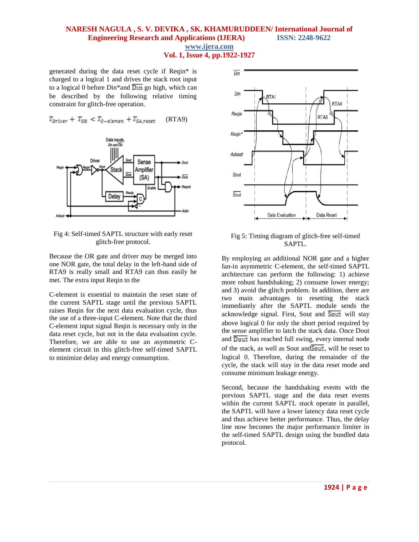## **NARESH NAGULA , S. V. DEVIKA , SK. KHAMURUDDEEN/ International Journal of Engineering Research and Applications (IJERA) ISSN: 2248-9622**

**www.ijera.com**

**Vol. 1, Issue 4, pp.1922-1927**

generated during the data reset cycle if Reqin\* is charged to a logical 1 and drives the stack root input to a logical 0 before Din\*and  $\overline{D\text{in}}$  go high, which can be described by the following relative timing constraint for glitch-free operation.

 $T_{\text{Diriver}} + T_{\text{OR}} < T_{\text{C-element}} + T_{\text{S}A\text{.reset}}$  (RTA9)



Fig 4: Self-timed SAPTL structure with early reset glitch-free protocol.

Because the OR gate and driver may be merged into one NOR gate, the total delay in the left-hand side of RTA9 is really small and RTA9 can thus easily be met. The extra input Reqin to the

C-element is essential to maintain the reset state of the current SAPTL stage until the previous SAPTL raises Reqin for the next data evaluation cycle, thus the use of a three-input C-element. Note that the third C-element input signal Reqin is necessary only in the data reset cycle, but not in the data evaluation cycle. Therefore, we are able to use an asymmetric Celement circuit in this glitch-free self-timed SAPTL to minimize delay and energy consumption.



Fig 5: Timing diagram of glitch-free self-timed SAPTL.

By employing an additional NOR gate and a higher fan-in asymmetric C-element, the self-timed SAPTL architecture can perform the following: 1) achieve more robust handshaking; 2) consume lower energy; and 3) avoid the glitch problem. In addition, there are two main advantages to resetting the stack immediately after the SAPTL module sends the acknowledge signal. First, Sout and  $\overline{S_{\text{out}}}$  will stay above logical 0 for only the short period required by the sense amplifier to latch the stack data. Once Dout and Dout has reached full swing, every internal node of the stack, as well as Sout and  $\overline{South}$ , will be reset to logical 0. Therefore, during the remainder of the cycle, the stack will stay in the data reset mode and consume minimum leakage energy.

Second, because the handshaking events with the previous SAPTL stage and the data reset events within the current SAPTL *stack* operate in parallel, the SAPTL will have a lower latency data reset cycle and thus achieve better performance. Thus, the delay line now becomes the major performance limiter in the self-timed SAPTL design using the bundled data protocol.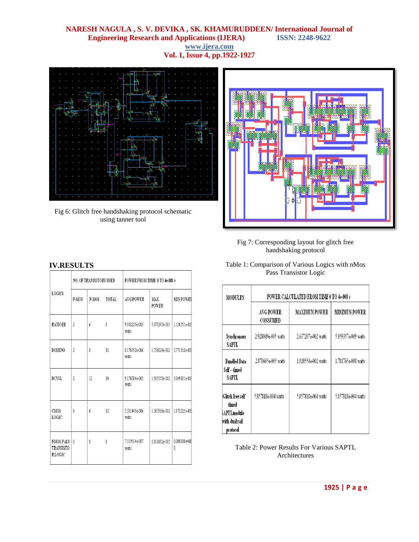#### **NARESH NAGULA , S. V. DEVIKA , SK. KHAMURUDDEEN/ International Journal of Engineering Research and Applications (IJERA) www.ijera.com Vol. 1, Issue 4, pp.1922-1927**



Fig 6: Glitch free handshaking protocol schematic using tanner tool



Fig 7: Corresponding layout for glitch free handshaking protocol

| <b>LOGICS</b>                           | <b>NO. OF TRANSISTORS USED</b> |       |       | POWER FROM TIME 0 TO 4e-008 s |                     |                     |
|-----------------------------------------|--------------------------------|-------|-------|-------------------------------|---------------------|---------------------|
|                                         | P-MOS                          | N-MOS | TOTAL | <b>AVG POWER</b>              | MAX<br><b>POWER</b> | <b>MIN POWEI</b>    |
| <b>RATIOED</b>                          | $\overline{2}$                 | ń     | 8     | 9.932225e-005<br>watts        | 5.073397e-003       | 1.130351e-009       |
| <b>DOMINO</b>                           | 2                              | 8     | 10    | 8.176752e-006<br>watts        | 1.756024e-002       | 3.771018e-009       |
| <b>DCVSL</b>                            | $\overline{2}$                 | 12    | 14    | 9.176304e-005<br>watts        | 1.565550e-002       | 3.849001e-009       |
| CMOS<br>LOGIC                           | ń                              | 6     | 12    | 5.321445e-006<br>watts        | 1.367566e-002       | 1.873325e-00\$      |
| <b>NMOS PASS</b><br>TRANSISTO<br>RLOGIC | ſ                              | 8     | 8     | 7519514e-007<br>watts         | 8.810182e-003       | $0.000000e+00$<br>Ñ |

#### **IV.RESULTS** Table 1: Comparison of Various Logics with nMos Pass Transistor Logic

| MODULES                                                               | POWER CALCULATED FROM TIME 0 TO 4e-008 s |                      |                     |  |  |  |
|-----------------------------------------------------------------------|------------------------------------------|----------------------|---------------------|--|--|--|
|                                                                       | <b>AVG POWER</b><br>CONSUMED             | <b>MAXIMUN POWER</b> | MINIMUN POWER       |  |  |  |
| Synchronous<br>SAPTL                                                  | 2.928049e-005 watts                      | 2.637207e-002 watts  | 5.059357e-009 watts |  |  |  |
| <b>Bundled Data</b><br>Self – timed<br>SAPTL                          | 2.870605e-005 watts                      | 1.920554e-002 watts  | 1.781765e-008 watts |  |  |  |
| Glitch free self<br>timed<br>APTLmodule<br>with dual rail<br>protocol | 5.857818e-004 watts                      | 5.857818e-004 watts  | 5.857818e-004 watts |  |  |  |

Table 2: Power Results For Various SAPTL Architectures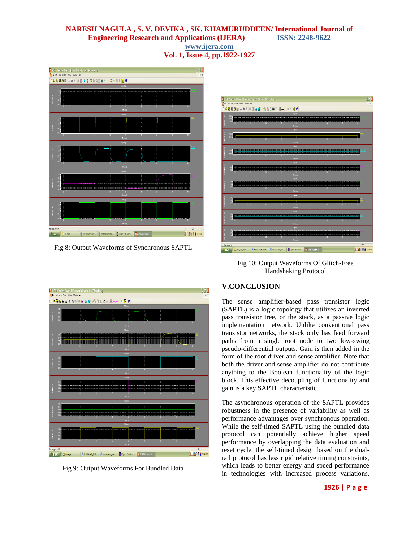### **NARESH NAGULA , S. V. DEVIKA , SK. KHAMURUDDEEN/ International Journal of Engineering Research and Applications (IJERA) ISSN: 2248-9622 www.ijera.com Vol. 1, Issue 4, pp.1922-1927**



Fig 8: Output Waveforms of Synchronous SAPTL



Fig 10: Output Waveforms Of Glitch-Free Handshaking Protocol



Fig 9: Output Waveforms For Bundled Data

### **V.CONCLUSION**

The sense amplifier-based pass transistor logic (SAPTL) is a logic topology that utilizes an inverted pass transistor tree, or the stack, as a passive logic implementation network. Unlike conventional pass transistor networks, the stack only has feed forward paths from a single root node to two low-swing pseudo-differential outputs. Gain is then added in the form of the root driver and sense amplifier. Note that both the driver and sense amplifier do not contribute anything to the Boolean functionality of the logic block. This effective decoupling of functionality and gain is a key SAPTL characteristic.

The asynchronous operation of the SAPTL provides robustness in the presence of variability as well as performance advantages over synchronous operation. While the self-timed SAPTL using the bundled data protocol can potentially achieve higher speed performance by overlapping the data evaluation and reset cycle, the self-timed design based on the dualrail protocol has less rigid relative timing constraints, which leads to better energy and speed performance in technologies with increased process variations.